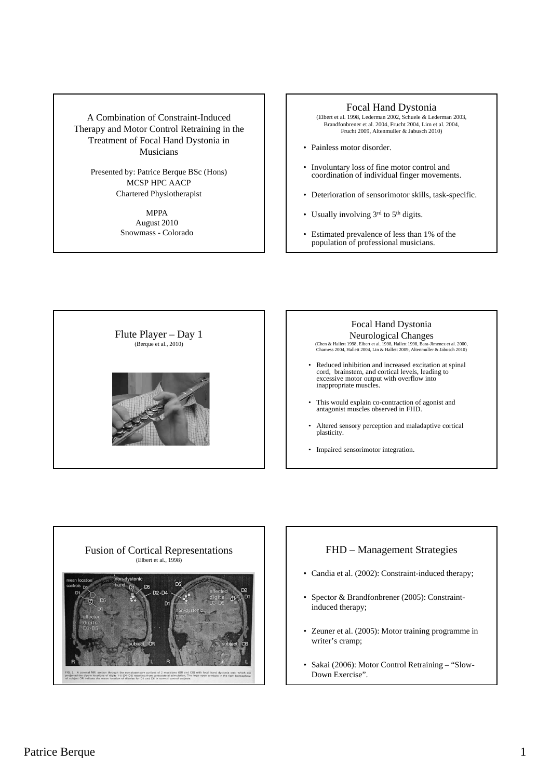A Combination of Constraint-Induced Therapy and Motor Control Retraining in the Treatment of Focal Hand Dystonia in Musicians

> Presented by: Patrice Berque BSc (Hons) MCSP HPC AACP Chartered Physiotherapist

> > MPPA August 2010 Snowmass - Colorado

# Focal Hand Dystonia

(Elbert et al. 1998, Lederman 2002, Schuele & Lederman 2003, Brandfonbrener et al. 2004, Frucht 2004, Lim et al. 2004, Frucht 2009, Altenmuller & Jabusch 2010)

- Painless motor disorder.
- Involuntary loss of fine motor control and coordination of individual finger movements.
- Deterioration of sensorimotor skills, task-specific.
- Usually involving 3rd to 5<sup>th</sup> digits.
- Estimated prevalence of less than 1% of the population of professional musicians.







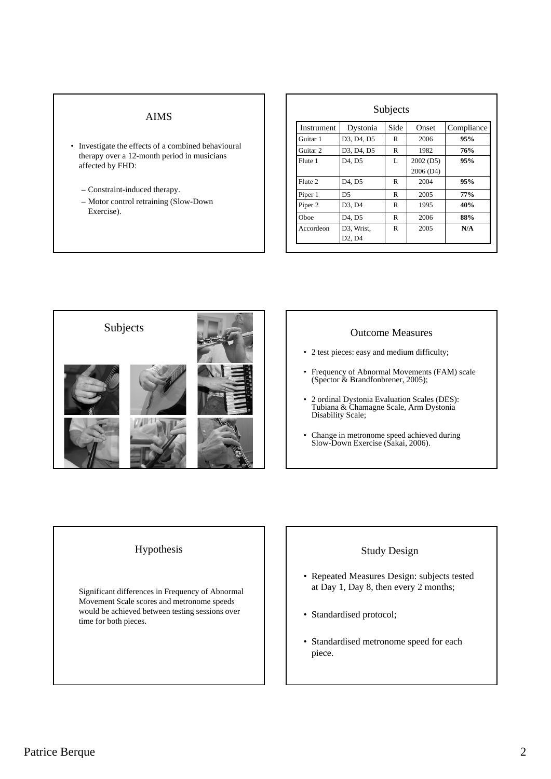# AIMS

- Investigate the effects of a combined behavioural therapy over a 12-month period in musicians affected by FHD:
	- Constraint-induced therapy.
	- Motor control retraining (Slow-Down Exercise).

| Instrument          | Dystonia                        | Side | Onset     | Compliance |
|---------------------|---------------------------------|------|-----------|------------|
| Guitar 1            | D3, D4, D5                      | R    | 2006      | 95%        |
| Guitar <sub>2</sub> | D3, D4, D5                      | R    | 1982      | 76%        |
| Flute 1             | D <sub>4</sub> , D <sub>5</sub> | L    | 2002 (D5) | 95%        |
|                     |                                 |      | 2006 (D4) |            |
| Flute 2             | D <sub>4</sub> , D <sub>5</sub> | R    | 2004      | 95%        |
| Piper 1             | D5                              | R    | 2005      | 77%        |
| Piper <sub>2</sub>  | D3, D4                          | R    | 1995      | 40%        |
| Oboe                | D <sub>4</sub> , D <sub>5</sub> | R    | 2006      | 88%        |
| Accordeon           | D3, Wrist,                      | R    | 2005      | N/A        |
|                     | D <sub>2</sub> , D <sub>4</sub> |      |           |            |



- 2 test pieces: easy and medium difficulty;
- Frequency of Abnormal Movements (FAM) scale (Spector & Brandfonbrener, 2005);
- 2 ordinal Dystonia Evaluation Scales (DES): Tubiana & Chamagne Scale, Arm Dystonia Disability Scale;
- Change in metronome speed achieved during Slow-Down Exercise (Sakai, 2006).

### Hypothesis

Significant differences in Frequency of Abnormal Movement Scale scores and metronome speeds would be achieved between testing sessions over time for both pieces.

# Study Design

- Repeated Measures Design: subjects tested at Day 1, Day 8, then every 2 months;
- Standardised protocol;
- Standardised metronome speed for each piece.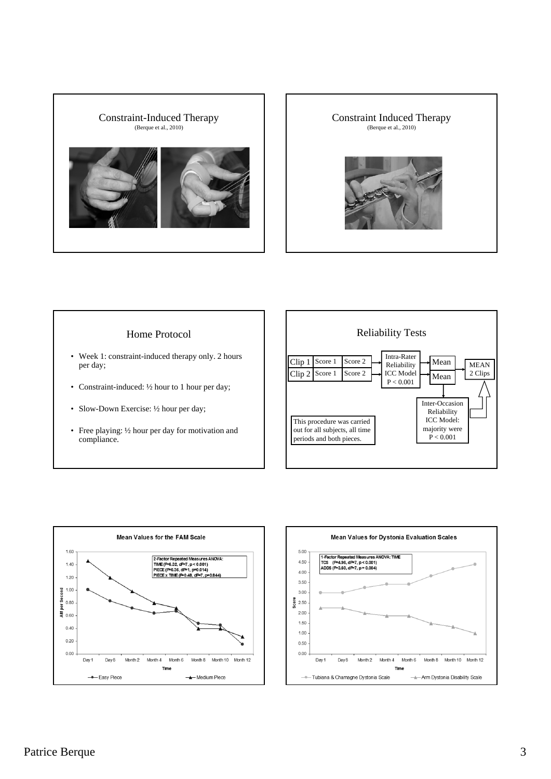



### Home Protocol

- Week 1: constraint-induced therapy only. 2 hours per day;
- Constraint-induced: 1/2 hour to 1 hour per day;
- Slow-Down Exercise: 1/2 hour per day;
- Free playing: ½ hour per day for motivation and compliance.